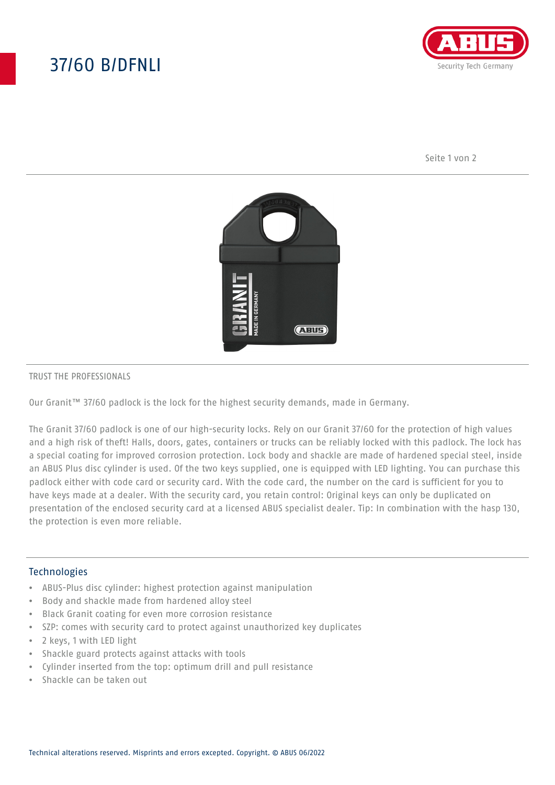# 37/60 B/DFNLI



Seite 1 von 2



#### TRUST THE PROFESSIONALS

Our Granit™ 37/60 padlock is the lock for the highest security demands, made in Germany.

The Granit 37/60 padlock is one of our high-security locks. Rely on our Granit 37/60 for the protection of high values and a high risk of theft! Halls, doors, gates, containers or trucks can be reliably locked with this padlock. The lock has a special coating for improved corrosion protection. Lock body and shackle are made of hardened special steel, inside an ABUS Plus disc cylinder is used. Of the two keys supplied, one is equipped with LED lighting. You can purchase this padlock either with code card or security card. With the code card, the number on the card is sufficient for you to have keys made at a dealer. With the security card, you retain control: Original keys can only be duplicated on presentation of the enclosed security card at a licensed ABUS specialist dealer. Tip: In combination with the hasp 130, the protection is even more reliable.

### Technologies

- ABUS-Plus disc cylinder: highest protection against manipulation
- Body and shackle made from hardened alloy steel
- Black Granit coating for even more corrosion resistance
- SZP: comes with security card to protect against unauthorized key duplicates
- 2 keys, 1 with LED light
- Shackle guard protects against attacks with tools
- Cylinder inserted from the top: optimum drill and pull resistance
- Shackle can be taken out